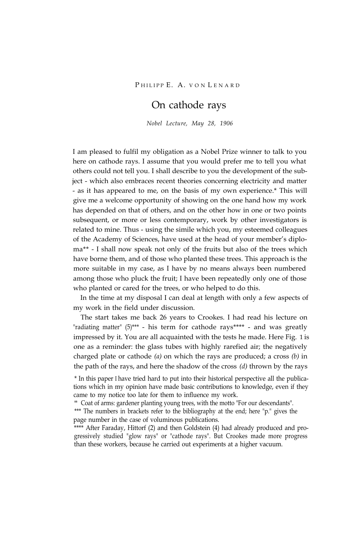# On cathode rays

*Nobel Lecture, May 28, 1906*

I am pleased to fulfil my obligation as a Nobel Prize winner to talk to you here on cathode rays. I assume that you would prefer me to tell you what others could not tell you. I shall describe to you the development of the subject - which also embraces recent theories concerning electricity and matter - as it has appeared to me, on the basis of my own experience.\* This will give me a welcome opportunity of showing on the one hand how my work has depended on that of others, and on the other how in one or two points subsequent, or more or less contemporary, work by other investigators is related to mine. Thus - using the simile which you, my esteemed colleagues of the Academy of Sciences, have used at the head of your member's diploma\*\* - I shall now speak not only of the fruits but also of the trees which have borne them, and of those who planted these trees. This approach is the more suitable in my case, as I have by no means always been numbered among those who pluck the fruit; I have been repeatedly only one of those who planted or cared for the trees, or who helped to do this.

In the time at my disposal I can deal at length with only a few aspects of my work in the field under discussion.

The start takes me back 26 years to Crookes. I had read his lecture on "radiating matter"  $(5)$ \*\*\* - his term for cathode rays\*\*\*\* - and was greatly impressed by it. You are all acquainted with the tests he made. Here Fig. 1 is one as a reminder: the glass tubes with highly rarefied air; the negatively charged plate or cathode *(a)* on which the rays are produced; a cross *(b)* in the path of the rays, and here the shadow of the cross *(d)* thrown by the rays

\* In this paper I have tried hard to put into their historical perspective all the publications which in my opinion have made basic contributions to knowledge, even if they came to my notice too late for them to influence my work.

\*\* Coat of arms: gardener planting young trees, with the motto "For our descendants".

\*\*\* The numbers in brackets refer to the bibliography at the end; here "p." gives the page number in the case of voluminous publications.

\*\*\*\* After Faraday, Hittorf (2) and then Goldstein (4) had already produced and progressively studied "glow rays" or "cathode rays". But Crookes made more progress than these workers, because he carried out experiments at a higher vacuum.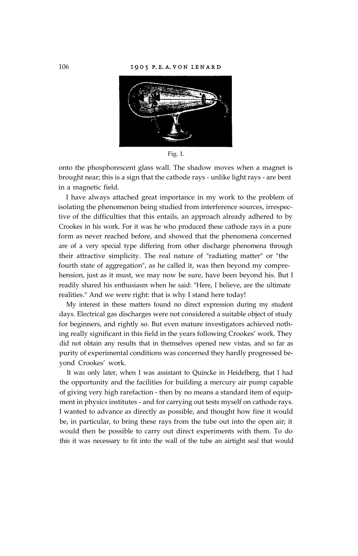



onto the phosphorescent glass wall. The shadow moves when a magnet is brought near; this is a sign that the cathode rays - unlike light rays - are bent in a magnetic field.

I have always attached great importance in my work to the problem of isolating the phenomenon being studied from interference sources, irrespective of the difficulties that this entails, an approach already adhered to by Crookes in his work. For it was he who produced these cathode rays in a pure form as never reached before, and showed that the phenomena concerned are of a very special type differing from other discharge phenomena through their attractive simplicity. The real nature of "radiating matter" or "the fourth state of aggregation", as he called it, was then beyond my comprehension, just as it must, we may now be sure, have been beyond his. But I readily shared his enthusiasm when he said: "Here, I believe, are the ultimate realities." And we were right: that is why I stand here today!

My interest in these matters found no direct expression during my student days. Electrical gas discharges were not considered a suitable object of study for beginners, and rightly so. But even mature investigators achieved nothing really significant in this field in the years following Crookes' work. They did not obtain any results that in themselves opened new vistas, and so far as purity of experimental conditions was concerned they hardly progressed beyond Crookes' work.

It was only later, when I was assistant to Quincke in Heidelberg, that I had the opportunity and the facilities for building a mercury air pump capable of giving very high rarefaction - then by no means a standard item of equipment in physics institutes - and for carrying out tests myself on cathode rays. I wanted to advance as directly as possible, and thought how fine it would be, in particular, to bring these rays from the tube out into the open air; it would then be possible to carry out direct experiments with them. To do this it was necessary to fit into the wall of the tube an airtight seal that would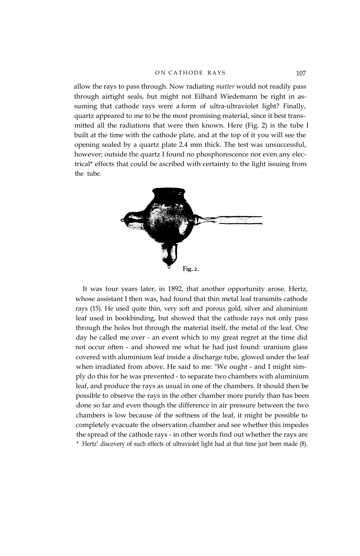allow the rays to pass through. Now radiating *matter* would not readily pass through airtight seals, but might not Eilhard Wiedemann be right in assuming that cathode rays were a form of ultra-ultraviolet light? Finally, quartz appeared to me to be the most promising material, since it best transmitted all the radiations that were then known. Here (Fig. 2) is the tube I built at the time with the cathode plate, and at the top of it you will see the opening sealed by a quartz plate 2.4 mm thick. The test was unsuccessful, however; outside the quartz I found no phosphorescence nor even any electrical\* effects that could be ascribed with certainty to the light issuing from the tube.



It was four years later, in 1892, that another opportunity arose. Hertz, whose assistant I then was, had found that thin metal leaf transmits cathode rays (15). He used quite thin, very soft and porous gold, silver and aluminium leaf used in bookbinding, but showed that the cathode rays not only pass through the holes but through the material itself, the metal of the leaf. One day he called me over - an event which to my great regret at the time did not occur often - and showed me what he had just found: uranium glass covered with aluminium leaf inside a discharge tube, glowed under the leaf when irradiated from above. He said to me*:* "We ought - and I might simply do this for he was prevented - to separate two chambers with aluminium leaf, and produce the rays as usual in one of the chambers. It should then be possible to observe the rays in the other chamber more purely than has been done so far and even though the difference in air pressure between the two chambers is low because of the softness of the leaf, it might be possible to completely evacuate the observation chamber and see whether this impedes the spread of the cathode rays - in other words find out whether the rays are \* Hertz' discovery of such effects of ultraviolet light had at that time just been made (8).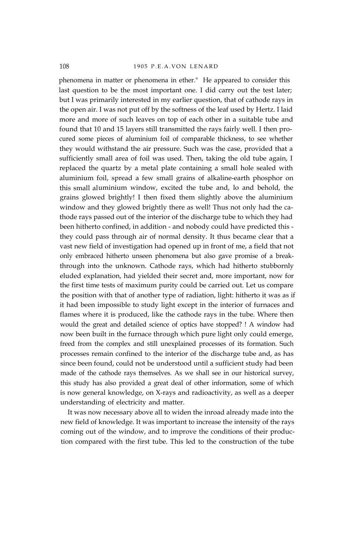phenomena in matter or phenomena in ether." He appeared to consider this last question to be the most important one. I did carry out the test later; but I was primarily interested in my earlier question, that of cathode rays in the open air. I was not put off by the softness of the leaf used by Hertz. I laid more and more of such leaves on top of each other in a suitable tube and found that 10 and 15 layers still transmitted the rays fairly well. I then procured some pieces of aluminium foil of comparable thickness, to see whether they would withstand the air pressure. Such was the case, provided that a sufficiently small area of foil was used. Then, taking the old tube again, I replaced the quartz by a metal plate containing a small hole sealed with aluminium foil, spread a few small grains of alkaline-earth phosphor on this small aluminium window, excited the tube and, lo and behold, the grains glowed brightly! I then fixed them slightly above the aluminium window and they glowed brightly there as well! Thus not only had the cathode rays passed out of the interior of the discharge tube to which they had been hitherto confined, in addition - and nobody could have predicted this they could pass through air of normal density. It thus became clear that a vast new field of investigation had opened up in front of me, a field that not only embraced hitherto unseen phenomena but also gave promise of a breakthrough into the unknown. Cathode rays, which had hitherto stubbornly eluded explanation, had yielded their secret and, more important, now for the first time tests of maximum purity could be carried out. Let us compare the position with that of another type of radiation, light: hitherto it was as if it had been impossible to study light except in the interior of furnaces and flames where it is produced, like the cathode rays in the tube. Where then would the great and detailed science of optics have stopped? ! A window had now been built in the furnace through which pure light only could emerge, freed from the complex and still unexplained processes of its formation. Such processes remain confined to the interior of the discharge tube and, as has since been found, could not be understood until a sufficient study had been made of the cathode rays themselves. As we shall see in our historical survey, this study has also provided a great deal of other information, some of which is now general knowledge, on X-rays and radioactivity, as well as a deeper understanding of electricity and matter.

It was now necessary above all to widen the inroad already made into the new field of knowledge. It was important to increase the intensity of the rays coming out of the window, and to improve the conditions of their production compared with the first tube. This led to the construction of the tube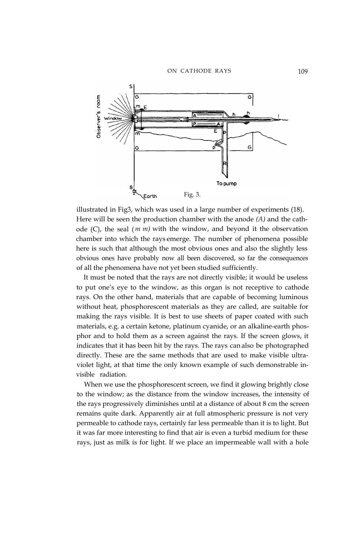

illustrated in Fig3, which was used in a large number of experiments (18). Here will be seen the production chamber with the anode *(A)* and the cathode (C), the seal (*m m)* with the window, and beyond it the observation chamber into which the rays emerge. The number of phenomena possible here is such that although the most obvious ones and also the slightly less obvious ones have probably now all been discovered, so far the consequences of all the phenomena have not yet been studied sufficiently.

It must be noted that the rays are not directly visible; it would be useless to put one's eye to the window, as this organ is not receptive to cathode rays. On the other hand, materials that are capable of becoming luminous without heat, phosphorescent materials as they are called, are suitable for making the rays visible. It is best to use sheets of paper coated with such materials, e.g. a certain ketone, platinum cyanide, or an alkaline-earth phosphor and to hold them as a screen against the rays. If the screen glows, it indicates that it has been hit by the rays. The rays can also be photographed directly. These are the same methods that are used to make visible ultraviolet light, at that time the only known example of such demonstrable invisible radiation.

When we use the phosphorescent screen, we find it glowing brightly close to the window; as the distance from the window increases, the intensity of the rays progressively diminishes until at a distance of about 8 cm the screen remains quite dark. Apparently air at full atmospheric pressure is not very permeable to cathode rays, certainly far less permeable than it is to light. But it was far more interesting to find that air is even a turbid medium for these rays, just as milk is for light. If we place an impermeable wall with a hole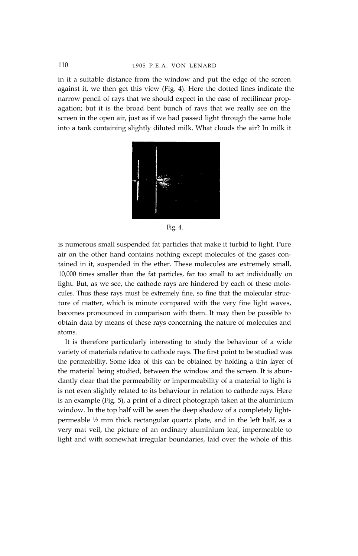in it a suitable distance from the window and put the edge of the screen against it, we then get this view (Fig. 4). Here the dotted lines indicate the narrow pencil of rays that we should expect in the case of rectilinear propagation; but it is the broad bent bunch of rays that we really see on the screen in the open air, just as if we had passed light through the same hole into a tank containing slightly diluted milk. What clouds the air? In milk it



Fig. 4.

is numerous small suspended fat particles that make it turbid to light. Pure air on the other hand contains nothing except molecules of the gases contained in it, suspended in the ether. These molecules are extremely small, 10,000 times smaller than the fat particles, far too small to act individually on light. But, as we see, the cathode rays are hindered by each of these molecules. Thus these rays must be extremely fine, so fine that the molecular structure of matter, which is minute compared with the very fine light waves, becomes pronounced in comparison with them. It may then be possible to obtain data by means of these rays concerning the nature of molecules and atoms.

It is therefore particularly interesting to study the behaviour of a wide variety of materials relative to cathode rays. The first point to be studied was the permeability. Some idea of this can be obtained by holding a thin layer of the material being studied, between the window and the screen. It is abundantly clear that the permeability or impermeability of a material to light is is not even slightly related to its behaviour in relation to cathode rays. Here is an example (Fig. 5), a print of a direct photograph taken at the aluminium window. In the top half will be seen the deep shadow of a completely lightpermeable ½ mm thick rectangular quartz plate, and in the left half, as a very mat veil, the picture of an ordinary aluminium leaf, impermeable to light and with somewhat irregular boundaries, laid over the whole of this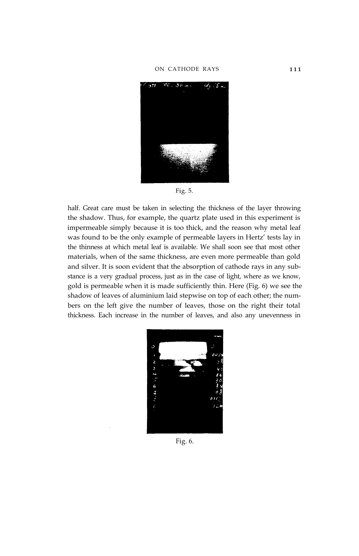

Fig. 5.

half. Great care must be taken in selecting the thickness of the layer throwing the shadow. Thus, for example, the quartz plate used in this experiment is impermeable simply because it is too thick, and the reason why metal leaf was found to be the only example of permeable layers in Hertz' tests lay in the thinness at which metal leaf is available. We shall soon see that most other materials, when of the same thickness, are even more permeable than gold and silver. It is soon evident that the absorption of cathode rays in any substance is a very gradual process, just as in the case of light, where as we know, gold is permeable when it is made sufficiently thin. Here (Fig. 6) we see the shadow of leaves of aluminium laid stepwise on top of each other; the numbers on the left give the number of leaves, those on the right their total thickness. Each increase in the number of leaves, and also any unevenness in



Fig. 6.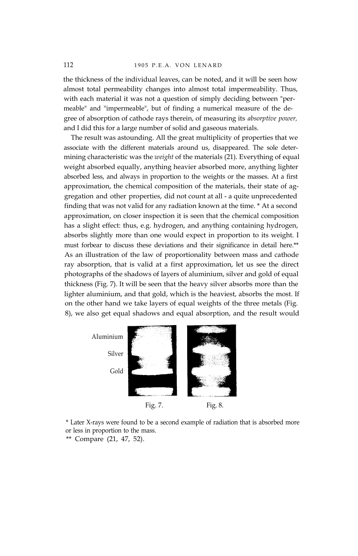the thickness of the individual leaves, can be noted, and it will be seen how almost total permeability changes into almost total impermeability. Thus, with each material it was not a question of simply deciding between "permeable" and "impermeable", but of finding a numerical measure of the degree of absorption of cathode rays therein, of measuring its *absorptive power,* and I did this for a large number of solid and gaseous materials.

The result was astounding. All the great multiplicity of properties that we associate with the different materials around us, disappeared. The sole determining characteristic was the *weight* of the materials (21). Everything of equal weight absorbed equally, anything heavier absorbed more, anything lighter absorbed less, and always in proportion to the weights or the masses. At a first approximation, the chemical composition of the materials, their state of aggregation and other properties, did not count at all - a quite unprecedented finding that was not valid for any radiation known at the time. \* At a second approximation, on closer inspection it is seen that the chemical composition has a slight effect: thus, e.g. hydrogen, and anything containing hydrogen, absorbs slightly more than one would expect in proportion to its weight. I must forbear to discuss these deviations and their significance in detail here.\*\* As an illustration of the law of proportionality between mass and cathode ray absorption, that is valid at a first approximation, let us see the direct photographs of the shadows of layers of aluminium, silver and gold of equal thickness (Fig. 7). It will be seen that the heavy silver absorbs more than the lighter aluminium, and that gold, which is the heaviest, absorbs the most. If on the other hand we take layers of equal weights of the three metals (Fig. 8), we also get equal shadows and equal absorption, and the result would



\* Later X-rays were found to be a second example of radiation that is absorbed more or less in proportion to the mass.

\*\* Compare (21, 47, 52).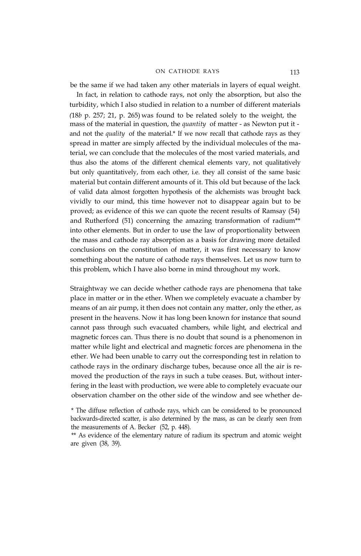be the same if we had taken any other materials in layers of equal weight. In fact, in relation to cathode rays, not only the absorption, but also the turbidity, which I also studied in relation to a number of different materials *(*18*b* p. 257; 21, p. 265) was found to be related solely to the weight, the mass of the material in question, the *quantity* of matter - as Newton put it and not the *quality* of the material.\* If we now recall that cathode rays as they spread in matter are simply affected by the individual molecules of the material, we can conclude that the molecules of the most varied materials, and thus also the atoms of the different chemical elements vary, not qualitatively but only quantitatively, from each other, i.e. they all consist of the same basic material but contain different amounts of it. This old but because of the lack of valid data almost forgotten hypothesis of the alchemists was brought back vividly to our mind, this time however not to disappear again but to be proved; as evidence of this we can quote the recent results of Ramsay (54) and Rutherford (51) concerning the amazing transformation of radium\*\* into other elements. But in order to use the law of proportionality between the mass and cathode ray absorption as a basis for drawing more detailed

conclusions on the constitution of matter, it was first necessary to know something about the nature of cathode rays themselves. Let us now turn to this problem, which I have also borne in mind throughout my work.

Straightway we can decide whether cathode rays are phenomena that take place in matter or in the ether. When we completely evacuate a chamber by means of an air pump, it then does not contain any matter, only the ether, as present in the heavens. Now it has long been known for instance that sound cannot pass through such evacuated chambers, while light, and electrical and magnetic forces can. Thus there is no doubt that sound is a phenomenon in matter while light and electrical and magnetic forces are phenomena in the ether. We had been unable to carry out the corresponding test in relation to cathode rays in the ordinary discharge tubes, because once all the air is removed the production of the rays in such a tube ceases. But, without interfering in the least with production, we were able to completely evacuate our observation chamber on the other side of the window and see whether de-

<sup>\*</sup> The diffuse reflection of cathode rays, which can be considered to be pronounced backwards-directed scatter, is also determined by the mass, as can be clearly seen from the measurements of A. Becker (52, p. 448).

<sup>\*\*</sup> As evidence of the elementary nature of radium its spectrum and atomic weight are given (38, 39).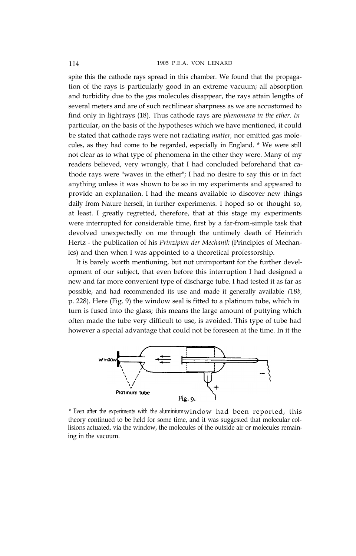spite this the cathode rays spread in this chamber. We found that the propagation of the rays is particularly good in an extreme vacuum; all absorption and turbidity due to the gas molecules disappear, the rays attain lengths of several meters and are of such rectilinear sharpness as we are accustomed to find only in lightrays (18). Thus cathode rays are *phenomena in the ether. In* particular, on the basis of the hypotheses which we have mentioned, it could be stated that cathode rays were not radiating *matter,* nor emitted gas molecules, as they had come to be regarded, especially in England. \* We were still not clear as to what type of phenomena in the ether they were. Many of my readers believed, very wrongly, that I had concluded beforehand that cathode rays were "waves in the ether"; I had no desire to say this or in fact anything unless it was shown to be so in my experiments and appeared to provide an explanation. I had the means available to discover new things daily from Nature herself, in further experiments. I hoped so or thought so, at least. I greatly regretted, therefore, that at this stage my experiments were interrupted for considerable time, first by a far-from-simple task that devolved unexpectedly on me through the untimely death of Heinrich Hertz - the publication of his *Prinzipien der Mechanik* (Principles of Mechanics) and then when I was appointed to a theoretical professorship.

It is barely worth mentioning, but not unimportant for the further development of our subject, that even before this interruption I had designed a new and far more convenient type of discharge tube. I had tested it as far as possible, and had recommended its use and made it generally available *(*18*b,* p. 228). Here (Fig. 9) the window seal is fitted to a platinum tube, which in turn is fused into the glass; this means the large amount of puttying which often made the tube very difficult to use, is avoided. This type of tube had however a special advantage that could not be foreseen at the time. In it the



\* Even after the experiments with the aluminiumwindow had been reported, this theory continued to be held for some time, and it was suggested that molecular collisions actuated, via the window, the molecules of the outside air or molecules remaining in the vacuum.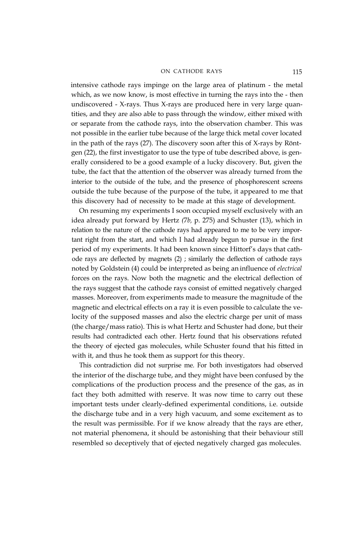intensive cathode rays impinge on the large area of platinum - the metal which, as we now know, is most effective in turning the rays into the - then undiscovered - X-rays. Thus X-rays are produced here in very large quantities, and they are also able to pass through the window, either mixed with or separate from the cathode rays, into the observation chamber. This was not possible in the earlier tube because of the large thick metal cover located in the path of the rays (27). The discovery soon after this of X-rays by Röntgen (22), the first investigator to use the type of tube described above, is generally considered to be a good example of a lucky discovery. But, given the tube, the fact that the attention of the observer was already turned from the interior to the outside of the tube, and the presence of phosphorescent screens outside the tube because of the purpose of the tube, it appeared to me that this discovery had of necessity to be made at this stage of development.

On resuming my experiments I soon occupied myself exclusively with an idea already put forward by Hertz *(*7*b,* p. 275) and Schuster (13), which in relation to the nature of the cathode rays had appeared to me to be very important right from the start, and which I had already begun to pursue in the first period of my experiments. It had been known since Hittorf's days that cathode rays are deflected by magnets (2) ; similarly the deflection of cathode rays noted by Goldstein (4) could be interpreted as being an influence of *electrical* forces on the rays. Now both the magnetic and the electrical deflection of the rays suggest that the cathode rays consist of emitted negatively charged masses. Moreover, from experiments made to measure the magnitude of the magnetic and electrical effects on a ray it is even possible to calculate the velocity of the supposed masses and also the electric charge per unit of mass (the charge/mass ratio). This is what Hertz and Schuster had done, but their results had contradicted each other. Hertz found that his observations refuted the theory of ejected gas molecules, while Schuster found that his fitted in with it, and thus he took them as support for this theory.

This contradiction did not surprise me. For both investigators had observed the interior of the discharge tube, and they might have been confused by the complications of the production process and the presence of the gas, as in fact they both admitted with reserve. It was now time to carry out these important tests under clearly-defined experimental conditions, i.e. outside the discharge tube and in a very high vacuum, and some excitement as to the result was permissible. For if we know already that the rays are ether, not material phenomena, it should be astonishing that their behaviour still resembled so deceptively that of ejected negatively charged gas molecules.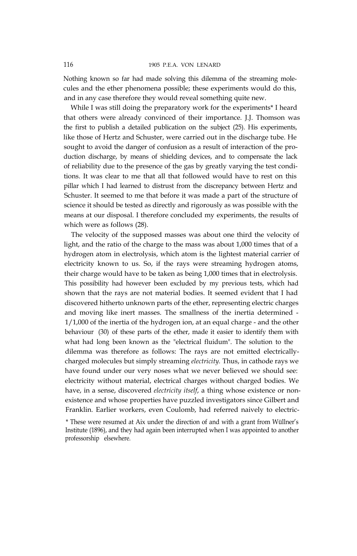# 116 1905 P.E.A. VON LENARD

Nothing known so far had made solving this dilemma of the streaming molecules and the ether phenomena possible; these experiments would do this, and in any case therefore they would reveal something quite new.

While I was still doing the preparatory work for the experiments\* I heard that others were already convinced of their importance. J.J. Thomson was the first to publish a detailed publication on the subject (25). His experiments, like those of Hertz and Schuster, were carried out in the discharge tube. He sought to avoid the danger of confusion as a result of interaction of the production discharge, by means of shielding devices, and to compensate the lack of reliability due to the presence of the gas by greatly varying the test conditions. It was clear to me that all that followed would have to rest on this pillar which I had learned to distrust from the discrepancy between Hertz and Schuster. It seemed to me that before it was made a part of the structure of science it should be tested as directly and rigorously as was possible with the means at our disposal. I therefore concluded my experiments, the results of which were as follows (28).

The velocity of the supposed masses was about one third the velocity of light, and the ratio of the charge to the mass was about 1,000 times that of a hydrogen atom in electrolysis, which atom is the lightest material carrier of electricity known to us. So, if the rays were streaming hydrogen atoms, their charge would have to be taken as being 1,000 times that in electrolysis. This possibility had however been excluded by my previous tests, which had shown that the rays are not material bodies. It seemed evident that I had discovered hitherto unknown parts of the ether, representing electric charges and moving like inert masses. The smallness of the inertia determined - 1/1,000 of the inertia of the hydrogen ion, at an equal charge - and the other behaviour (30) of these parts of the ether, made it easier to identify them with what had long been known as the "electrical fluidum". The solution to the dilemma was therefore as follows: The rays are not emitted electricallycharged molecules but simply streaming *electricity.* Thus, in cathode rays we have found under our very noses what we never believed we should see: electricity without material, electrical charges without charged bodies. We have, in a sense, discovered *electricity itself*, a thing whose existence or nonexistence and whose properties have puzzled investigators since Gilbert and Franklin. Earlier workers, even Coulomb, had referred naively to electric-

\* These were resumed at Aix under the direction of and with a grant from Wüllner's Institute (1896), and they had again been interrupted when I was appointed to another professorship elsewhere.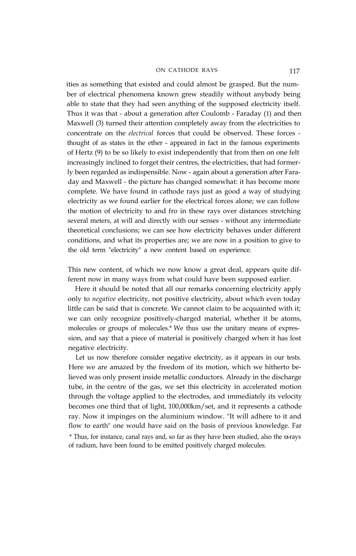ities as something that existed and could almost be grasped. But the number of electrical phenomena known grew steadily without anybody being able to state that they had seen anything of the supposed electricity itself. Thus it was that - about a generation after Coulomb - Faraday (1) and then Maxwell (3) turned their attention completely away from the electricities to concentrate on the *electrical* forces that could be observed. These forces thought of as states in the ether - appeared in fact in the famous experiments of Hertz (9) to be so likely to exist independently that from then on one felt increasingly inclined to forget their centres, the electricities, that had formerly been regarded as indispensible. Now - again about a generation after Faraday and Maxwell - the picture has changed somewhat: it has become more complete. We have found in cathode rays just as good a way of studying electricity as we found earlier for the electrical forces alone; we can follow the motion of electricity to and fro in these rays over distances stretching several meters, at will and directly with our senses - without any intermediate theoretical conclusions; we can see how electricity behaves under different conditions, and what its properties are; we are now in a position to give to the old term "electricity" a new content based on experience.

This new content, of which we now know a great deal, appears quite different now in many ways from what could have been supposed earlier.

Here it should be noted that all our remarks concerning electricity apply only to *negative* electricity, not positive electricity, about which even today little can be said that is concrete. We cannot claim to be acquainted with it; we can only recognize positively-charged material, whether it be atoms, molecules or groups of molecules.\* We thus use the unitary means of expression, and say that a piece of material is positively charged when it has lost negative electricity.

Let us now therefore consider negative electricity, as it appears in our tests. Here we are amazed by the freedom of its motion, which we hitherto believed was only present inside metallic conductors. Already in the discharge tube, in the centre of the gas, we set this electricity in accelerated motion through the voltage applied to the electrodes, and immediately its velocity becomes one third that of light, 100,000km/set, and it represents a cathode ray. Now it impinges on the aluminium window. "It will adhere to it and flow to earth" one would have said on the basis of previous knowledge. Far  $*$  Thus, for instance, canal rays and, so far as they have been studied, also the  $\alpha$ -rays of radium, have been found to be emitted positively charged molecules.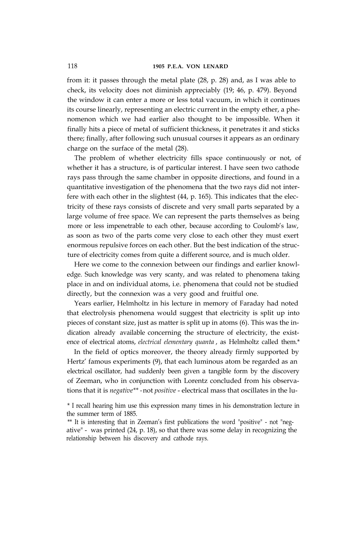from it: it passes through the metal plate (28, p. 28) and, as I was able to check, its velocity does not diminish appreciably (19; 46, p. 479). Beyond the window it can enter a more or less total vacuum, in which it continues its course linearly, representing an electric current in the empty ether, a phenomenon which we had earlier also thought to be impossible. When it finally hits a piece of metal of sufficient thickness, it penetrates it and sticks there; finally, after following such unusual courses it appears as an ordinary charge on the surface of the metal (28).

The problem of whether electricity fills space continuously or not, of whether it has a structure, is of particular interest. I have seen two cathode rays pass through the same chamber in opposite directions, and found in a quantitative investigation of the phenomena that the two rays did not interfere with each other in the slightest (44, p. 165). This indicates that the electricity of these rays consists of discrete and very small parts separated by a large volume of free space. We can represent the parts themselves as being more or less impenetrable to each other, because according to Coulomb's law, as soon as two of the parts come very close to each other they must exert enormous repulsive forces on each other. But the best indication of the structure of electricity comes from quite a different source, and is much older.

Here we come to the connexion between our findings and earlier knowledge. Such knowledge was very scanty, and was related to phenomena taking place in and on individual atoms, i.e. phenomena that could not be studied directly, but the connexion was a very good and fruitful one.

Years earlier, Helmholtz in his lecture in memory of Faraday had noted that electrolysis phenomena would suggest that electricity is split up into pieces of constant size, just as matter is split up in atoms (6). This was the indication already available concerning the structure of electricity, the existence of electrical atoms, *electrical elementary quanta* , as Helmholtz called them.\*

In the field of optics moreover, the theory already firmly supported by Hertz' famous experiments (9), that each luminous atom be regarded as an electrical oscillator, had suddenly been given a tangible form by the discovery of Zeeman, who in conjunction with Lorentz concluded from his observations that it is *negative\*\* -*not *positive* - electrical mass that oscillates in the lu-

\* I recall hearing him use this expression many times in his demonstration lecture in the summer term of 1885.

\*\* It is interesting that in Zeeman's first publications the word "positive" - not "negative" - was printed (24, p. 18), so that there was some delay in recognizing the relationship between his discovery and cathode rays.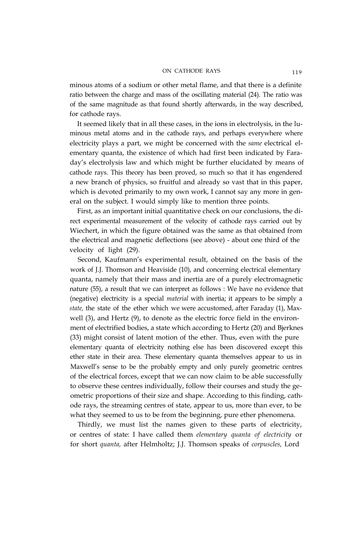minous atoms of a sodium or other metal flame, and that there is a definite ratio between the charge and mass of the oscillating material (24). The ratio was of the same magnitude as that found shortly afterwards, in the way described, for cathode rays.

It seemed likely that in all these cases, in the ions in electrolysis, in the luminous metal atoms and in the cathode rays, and perhaps everywhere where electricity plays a part, we might be concerned with the *same* electrical elementary quanta, the existence of which had first been indicated by Faraday's electrolysis law and which might be further elucidated by means of cathode rays. This theory has been proved, so much so that it has engendered a new branch of physics, so fruitful and already so vast that in this paper, which is devoted primarily to my own work, I cannot say any more in general on the subject. I would simply like to mention three points.

First, as an important initial quantitative check on our conclusions, the direct experimental measurement of the velocity of cathode rays carried out by Wiechert, in which the figure obtained was the same as that obtained from the electrical and magnetic deflections (see above) - about one third of the velocity of light (29).

Second, Kaufmann's experimental result, obtained on the basis of the work of J.J. Thomson and Heaviside (10), and concerning electrical elementary quanta, namely that their mass and inertia are of a purely electromagnetic nature (55), a result that we can interpret as follows : We have no evidence that (negative) electricity is a special *material* with inertia; it appears to be simply a *state,* the state of the ether which we were accustomed, after Faraday (1), Maxwell (3), and Hertz (9), to denote as the electric force field in the environment of electrified bodies, a state which according to Hertz (20) and Bjerknes (33) might consist of latent motion of the ether. Thus, even with the pure elementary quanta of electricity nothing else has been discovered except this ether state in their area. These elementary quanta themselves appear to us in Maxwell's sense to be the probably empty and only purely geometric centres of the electrical forces, except that we can now claim to be able successfully to observe these centres individually, follow their courses and study the geometric proportions of their size and shape. According to this finding, cathode rays, the streaming centres of state, appear to us, more than ever, to be what they seemed to us to be from the beginning, pure ether phenomena.

Thirdly, we must list the names given to these parts of electricity, or centres of state: I have called them *elementary quanta of electricity* or for short *quanta,* after Helmholtz; J.J. Thomson speaks of *corpuscles,* Lord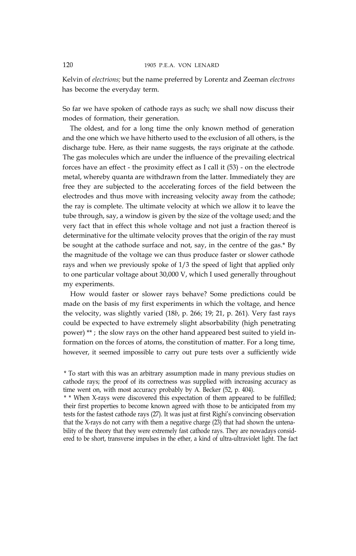Kelvin of *electrions;* but the name preferred by Lorentz and Zeeman *electrons* has become the everyday term.

So far we have spoken of cathode rays as such; we shall now discuss their modes of formation, their generation.

The oldest, and for a long time the only known method of generation and the one which we have hitherto used to the exclusion of all others, is the discharge tube. Here, as their name suggests, the rays originate at the cathode. The gas molecules which are under the influence of the prevailing electrical forces have an effect - the proximity effect as I call it (53) - on the electrode metal, whereby quanta are withdrawn from the latter. Immediately they are free they are subjected to the accelerating forces of the field between the electrodes and thus move with increasing velocity away from the cathode; the ray is complete. The ultimate velocity at which we allow it to leave the tube through, say, a window is given by the size of the voltage used; and the very fact that in effect this whole voltage and not just a fraction thereof is determinative for the ultimate velocity proves that the origin of the ray must be sought at the cathode surface and not, say, in the centre of the gas.\* By the magnitude of the voltage we can thus produce faster or slower cathode rays and when we previously spoke of 1/3 the speed of light that applied only to one particular voltage about 30,000 V, which I used generally throughout my experiments.

How would faster or slower rays behave? Some predictions could be made on the basis of my first experiments in which the voltage, and hence the velocity, was slightly varied (18*b*, p. 266; 19; 21, p. 261)*.* Very fast rays could be expected to have extremely slight absorbability (high penetrating power) \*\* ; the slow rays on the other hand appeared best suited to yield information on the forces of atoms, the constitution of matter. For a long time, however, it seemed impossible to carry out pure tests over a sufficiently wide

<sup>\*</sup> To start with this was an arbitrary assumption made in many previous studies on cathode rays; the proof of its correctness was supplied with increasing accuracy as time went on, with most accuracy probably by A. Becker (52, p. 404).

<sup>\* \*</sup> When X-rays were discovered this expectation of them appeared to be fulfilled; their first properties to become known agreed with those to be anticipated from my tests for the fastest cathode rays (27). It was just at first Righi's convincing observation that the X-rays do not carry with them a negative charge (23) that had shown the untenability of the theory that they were extremely fast cathode rays. They are nowadays considered to be short, transverse impulses in the ether, a kind of ultra-ultraviolet light. The fact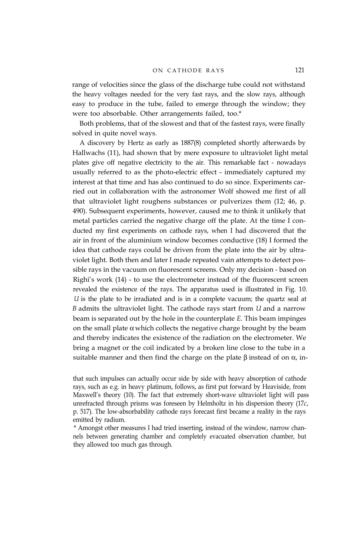range of velocities since the glass of the discharge tube could not withstand the heavy voltages needed for the very fast rays, and the slow rays, although easy to produce in the tube, failed to emerge through the window; they were too absorbable. Other arrangements failed, too.\*

Both problems, that of the slowest and that of the fastest rays, were finally solved in quite novel ways.

A discovery by Hertz as early as 1887(8) completed shortly afterwards by Hallwachs (11), had shown that by mere exposure to ultraviolet light metal plates give off negative electricity to the air. This remarkable fact - nowadays usually referred to as the photo-electric effect - immediately captured my interest at that time and has also continued to do so since. Experiments carried out in collaboration with the astronomer Wolf showed me first of all that ultraviolet light roughens substances or pulverizes them (12; 46, p. 490). Subsequent experiments, however, caused me to think it unlikely that metal particles carried the negative charge off the plate. At the time I conducted my first experiments on cathode rays, when I had discovered that the air in front of the aluminium window becomes conductive (18) I formed the idea that cathode rays could be driven from the plate into the air by ultraviolet light. Both then and later I made repeated vain attempts to detect possible rays in the vacuum on fluorescent screens. Only my decision - based on Righi's work (14) - to use the electrometer instead of the fluorescent screen revealed the existence of the rays. The apparatus used is illustrated in Fig. 10. *U* is the plate to be irradiated and is in a complete vacuum; the quartz seal at *B* admits the ultraviolet light. The cathode rays start from *U* and a narrow beam is separated out by the hole in the counterplate *E.* This beam impinges on the small plate  $\alpha$  which collects the negative charge brought by the beam and thereby indicates the existence of the radiation on the electrometer. We bring a magnet or the coil indicated by a broken line close to the tube in a suitable manner and then find the charge on the plate  $\beta$  instead of on  $\alpha$ , in-

that such impulses can actually occur side by side with heavy absorption of cathode rays, such as e.g. in heavy platinum, follows, as first put forward by Heaviside, from Maxwell's theory (10). The fact that extremely short-wave ultraviolet light will pass unrefracted through prisms was foreseen by Helmholtz in his dispersion theory (17*c*, p. 517). The low-absorbability cathode rays forecast first became a reality in the rays emitted by radium.

\* Amongst other measures I had tried inserting, instead of the window, narrow channels between generating chamber and completely evacuated observation chamber, but they allowed too much gas through.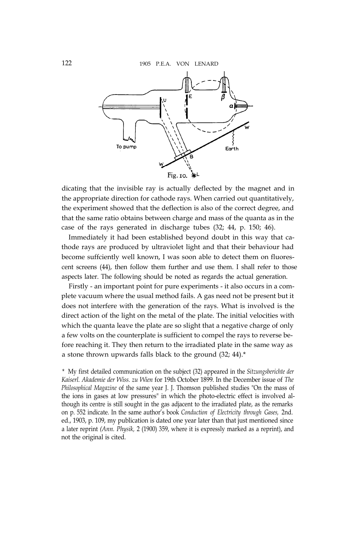

dicating that the invisible ray is actually deflected by the magnet and in the appropriate direction for cathode rays. When carried out quantitatively, the experiment showed that the deflection is also of the correct degree, and that the same ratio obtains between charge and mass of the quanta as in the case of the rays generated in discharge tubes (32; 44, p. 150; 46).

Immediately it had been established beyond doubt in this way that cathode rays are produced by ultraviolet light and that their behaviour had become suffciently well known, I was soon able to detect them on fluorescent screens (44), then follow them further and use them. I shall refer to those aspects later. The following should be noted as regards the actual generation.

Firstly - an important point for pure experiments - it also occurs in a complete vacuum where the usual method fails. A gas need not be present but it does not interfere with the generation of the rays. What is involved is the direct action of the light on the metal of the plate. The initial velocities with which the quanta leave the plate are so slight that a negative charge of only a few volts on the counterplate is sufficient to compel the rays to reverse before reaching it. They then return to the irradiated plate in the same way as a stone thrown upwards falls black to the ground (32; 44).\*

\* My first detailed communication on the subject (32) appeared in the *Sitzungsberichte der Kaiserl. Akademie der Wiss. zu Wien* for 19th October 1899. In the December issue of *The Philosophical Magazine* of the same year J. J. Thomson published studies "On the mass of the ions in gases at low pressures" in which the photo-electric effect is involved although its centre is still sought in the gas adjacent to the irradiated plate, as the remarks on p. 552 indicate. In the same author's book *Conduction of Electricity through Gases,* 2nd. ed., 1903, p. 109, my publication is dated one year later than that just mentioned since a later reprint *(Ann. Physik,* 2 (1900) 359, where it is expressly marked as a reprint), and not the original is cited.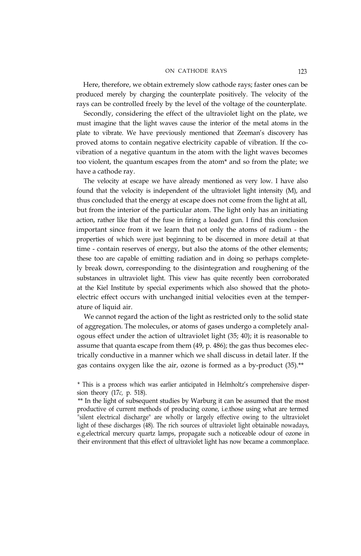Here, therefore, we obtain extremely slow cathode rays; faster ones can be produced merely by charging the counterplate positively. The velocity of the rays can be controlled freely by the level of the voltage of the counterplate.

Secondly, considering the effect of the ultraviolet light on the plate, we must imagine that the light waves cause the interior of the metal atoms in the plate to vibrate. We have previously mentioned that Zeeman's discovery has proved atoms to contain negative electricity capable of vibration. If the covibration of a negative quantum in the atom with the light waves becomes too violent, the quantum escapes from the atom\* and so from the plate; we have a cathode ray.

The velocity at escape we have already mentioned as very low. I have also found that the velocity is independent of the ultraviolet light intensity (M), and thus concluded that the energy at escape does not come from the light at all, but from the interior of the particular atom. The light only has an initiating action, rather like that of the fuse in firing a loaded gun. I find this conclusion important since from it we learn that not only the atoms of radium - the properties of which were just beginning to be discerned in more detail at that time - contain reserves of energy, but also the atoms of the other elements; these too are capable of emitting radiation and in doing so perhaps completely break down, corresponding to the disintegration and roughening of the substances in ultraviolet light. This view has quite recently been corroborated at the Kiel Institute by special experiments which also showed that the photoelectric effect occurs with unchanged initial velocities even at the temperature of liquid air.

We cannot regard the action of the light as restricted only to the solid state of aggregation. The molecules, or atoms of gases undergo a completely analogous effect under the action of ultraviolet light (35; 40); it is reasonable to assume that quanta escape from them (49, p. 486); the gas thus becomes electrically conductive in a manner which we shall discuss in detail later. If the gas contains oxygen like the air, ozone is formed as a by-product (35).\*\*

\*\* In the light of subsequent studies by Warburg it can be assumed that the most productive of current methods of producing ozone, i.e.those using what are termed "silent electrical discharge" are wholly or largely effective owing to the ultraviolet light of these discharges (48). The rich sources of ultraviolet light obtainable nowadays, e.g.electrical mercury quartz lamps, propagate such a noticeable odour of ozone in their environment that this effect of ultraviolet light has now became a commonplace.

<sup>\*</sup> This is a process which was earlier anticipated in Helmholtz's comprehensive dispersion theory (17*c,* p. 518).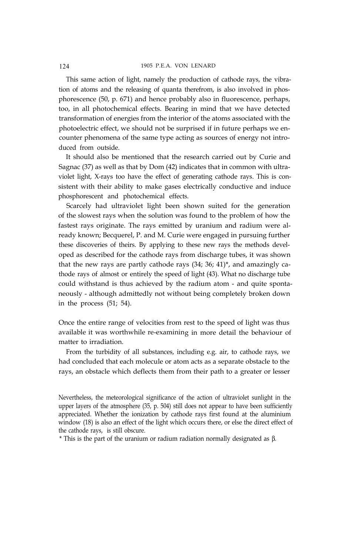This same action of light, namely the production of cathode rays, the vibration of atoms and the releasing of quanta therefrom, is also involved in phosphorescence (50, p. 671) and hence probably also in fluorescence, perhaps, too, in all photochemical effects. Bearing in mind that we have detected transformation of energies from the interior of the atoms associated with the photoelectric effect, we should not be surprised if in future perhaps we encounter phenomena of the same type acting as sources of energy not introduced from outside.

It should also be mentioned that the research carried out by Curie and Sagnac (37) as well as that by Dom (42) indicates that in common with ultraviolet light, X-rays too have the effect of generating cathode rays. This is consistent with their ability to make gases electrically conductive and induce phosphorescent and photochemical effects.

Scarcely had ultraviolet light been shown suited for the generation of the slowest rays when the solution was found to the problem of how the fastest rays originate. The rays emitted by uranium and radium were already known; Becquerel, P. and M. Curie were engaged in pursuing further these discoveries of theirs. By applying to these new rays the methods developed as described for the cathode rays from discharge tubes, it was shown that the new rays are partly cathode rays  $(34; 36; 41)^*$ , and amazingly cathode rays of almost or entirely the speed of light (43). What no discharge tube could withstand is thus achieved by the radium atom - and quite spontaneously - although admittedly not without being completely broken down in the process (51; 54).

Once the entire range of velocities from rest to the speed of light was thus available it was worthwhile re-examining in more detail the behaviour of matter to irradiation.

From the turbidity of all substances, including e.g. air, to cathode rays, we had concluded that each molecule or atom acts as a separate obstacle to the rays, an obstacle which deflects them from their path to a greater or lesser

Nevertheless, the meteorological significance of the action of ultraviolet sunlight in the upper layers of the atmosphere (35, p. 504) still does not appear to have been sufficiently appreciated. Whether the ionization by cathode rays first found at the aluminium window (18) is also an effect of the light which occurs there, or else the direct effect of the cathode rays, is still obscure.

\* This is the part of the uranium or radium radiation normally designated as β.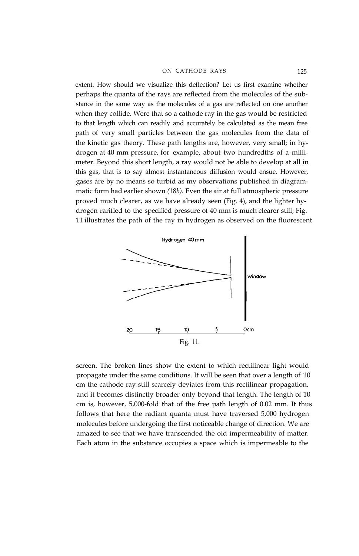extent. How should we visualize this deflection? Let us first examine whether perhaps the quanta of the rays are reflected from the molecules of the substance in the same way as the molecules of a gas are reflected on one another when they collide. Were that so a cathode ray in the gas would be restricted to that length which can readily and accurately be calculated as the mean free path of very small particles between the gas molecules from the data of the kinetic gas theory. These path lengths are, however, very small; in hydrogen at 40 mm pressure, for example, about two hundredths of a millimeter. Beyond this short length, a ray would not be able to develop at all in this gas, that is to say almost instantaneous diffusion would ensue. However, gases are by no means so turbid as my observations published in diagrammatic form had earlier shown *(*18*b).* Even the air at full atmospheric pressure proved much clearer, as we have already seen (Fig. 4), and the lighter hydrogen rarified to the specified pressure of 40 mm is much clearer still; Fig. 11 illustrates the path of the ray in hydrogen as observed on the fluorescent



screen. The broken lines show the extent to which rectilinear light would propagate under the same conditions. It will be seen that over a length of 10 cm the cathode ray still scarcely deviates from this rectilinear propagation, and it becomes distinctly broader only beyond that length. The length of 10 cm is, however, 5,000-fold that of the free path length of 0.02 mm. It thus follows that here the radiant quanta must have traversed 5,000 hydrogen molecules before undergoing the first noticeable change of direction. We are amazed to see that we have transcended the old impermeability of matter. Each atom in the substance occupies a space which is impermeable to the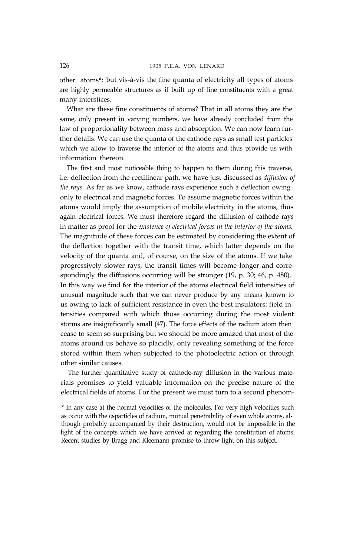other atoms\*; but vis-à-vis the fine quanta of electricity all types of atoms are highly permeable structures as if built up of fine constituents with a great many interstices.

What are these fine constituents of atoms? That in all atoms they are the same, only present in varying numbers, we have already concluded from the law of proportionality between mass and absorption. We can now learn further details. We can use the quanta of the cathode rays as small test particles which we allow to traverse the interior of the atoms and thus provide us with information thereon.

The first and most noticeable thing to happen to them during this traverse, i.e. deflection from the rectilinear path, we have just discussed as *diffusion of the rays*. As far as we know, cathode rays experience such a deflection owing only to electrical and magnetic forces. To assume magnetic forces within the atoms would imply the assumption of mobile electricity in the atoms, thus again electrical forces. We must therefore regard the diffusion of cathode rays in matter as proof for the *existence of electrical forces in the interior of the atoms.* The magnitude of these forces can be estimated by considering the extent of the deflection together with the transit time, which latter depends on the velocity of the quanta and, of course, on the size of the atoms. If we take progressively slower rays, the transit times will become longer and correspondingly the diffusions occurring will be stronger (19, p. 30; 46, p. 480). In this way we find for the interior of the atoms electrical field intensities of unusual magnitude such that we can never produce by any means known to us owing to lack of sufficient resistance in even the best insulators: field intensities compared with which those occurring during the most violent storms are insignificantly small (47). The force effects of the radium atom then cease to seem so surprising but we should be more amazed that most of the atoms around us behave so placidly, only revealing something of the force stored within them when subjected to the photoelectric action or through other similar causes.

The further quantitative study of cathode-ray diffusion in the various materials promises to yield valuable information on the precise nature of the electrical fields of atoms. For the present we must turn to a second phenom-

\* In any case at the normal velocities of the molecules. For very high velocities such as occur with the α-particles of radium, mutual penetrability of even whole atoms, although probably accompanied by their destruction, would not be impossible in the light of the concepts which we have arrived at regarding the constitution of atoms. Recent studies by Bragg and Kleemann promise to throw light on this subject.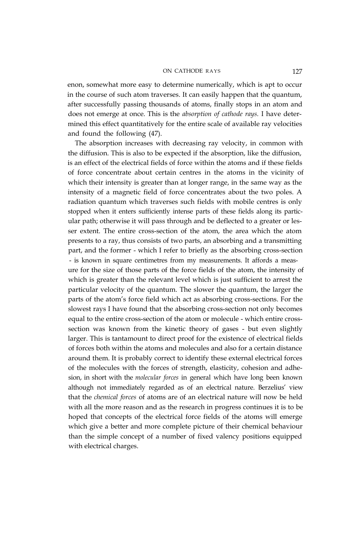enon, somewhat more easy to determine numerically, which is apt to occur in the course of such atom traverses. It can easily happen that the quantum, after successfully passing thousands of atoms, finally stops in an atom and does not emerge at once. This is the *absorption of cathode rays.* I have determined this effect quantitatively for the entire scale of available ray velocities and found the following (47).

The absorption increases with decreasing ray velocity, in common with the diffusion. This is also to be expected if the absorption, like the diffusion, is an effect of the electrical fields of force within the atoms and if these fields of force concentrate about certain centres in the atoms in the vicinity of which their intensity is greater than at longer range, in the same way as the intensity of a magnetic field of force concentrates about the two poles. A radiation quantum which traverses such fields with mobile centres is only stopped when it enters sufficiently intense parts of these fields along its particular path; otherwise it will pass through and be deflected to a greater or lesser extent. The entire cross-section of the atom, the area which the atom presents to a ray, thus consists of two parts, an absorbing and a transmitting part, and the former - which I refer to briefly as the absorbing cross-section - is known in square centimetres from my measurements. It affords a measure for the size of those parts of the force fields of the atom, the intensity of which is greater than the relevant level which is just sufficient to arrest the particular velocity of the quantum. The slower the quantum, the larger the parts of the atom's force field which act as absorbing cross-sections. For the slowest rays I have found that the absorbing cross-section not only becomes equal to the entire cross-section of the atom or molecule - which entire crosssection was known from the kinetic theory of gases - but even slightly larger. This is tantamount to direct proof for the existence of electrical fields of forces both within the atoms and molecules and also for a certain distance around them. It is probably correct to identify these external electrical forces of the molecules with the forces of strength, elasticity, cohesion and adhesion, in short with the *molecular forces* in general which have long been known although not immediately regarded as of an electrical nature. Berzelius' view that the *chemical forces* of atoms are of an electrical nature will now be held with all the more reason and as the research in progress continues it is to be hoped that concepts of the electrical force fields of the atoms will emerge which give a better and more complete picture of their chemical behaviour than the simple concept of a number of fixed valency positions equipped with electrical charges.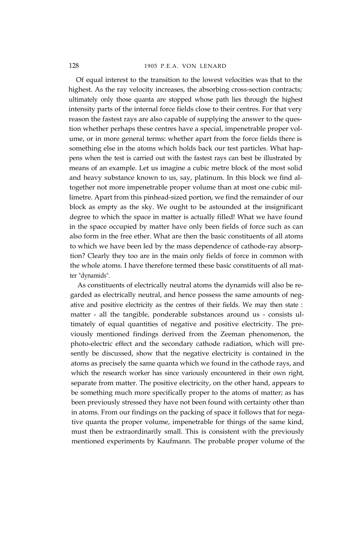Of equal interest to the transition to the lowest velocities was that to the highest. As the ray velocity increases, the absorbing cross-section contracts; ultimately only those quanta are stopped whose path lies through the highest intensity parts of the internal force fields close to their centres. For that very reason the fastest rays are also capable of supplying the answer to the question whether perhaps these centres have a special, impenetrable proper volume, or in more general terms: whether apart from the force fields there is something else in the atoms which holds back our test particles. What happens when the test is carried out with the fastest rays can best be illustrated by means of an example. Let us imagine a cubic metre block of the most solid and heavy substance known to us, say, platinum. In this block we find altogether not more impenetrable proper volume than at most one cubic millimetre. Apart from this pinhead-sized portion, we find the remainder of our block as empty as the sky. We ought to be astounded at the insignificant degree to which the space in matter is actually filled! What we have found in the space occupied by matter have only been fields of force such as can also form in the free ether. What are then the basic constituents of all atoms to which we have been led by the mass dependence of cathode-ray absorption? Clearly they too are in the main only fields of force in common with the whole atoms. I have therefore termed these basic constituents of all matter "dynamids".

As constituents of electrically neutral atoms the dynamids will also be regarded as electrically neutral, and hence possess the same amounts of negative and positive electricity as the centres of their fields. We may then state : matter - all the tangible, ponderable substances around us - consists ultimately of equal quantities of negative and positive electricity. The previously mentioned findings derived from the Zeeman phenomenon, the photo-electric effect and the secondary cathode radiation, which will presently be discussed, show that the negative electricity is contained in the atoms as precisely the same quanta which we found in the cathode rays, and which the research worker has since variously encountered in their own right, separate from matter. The positive electricity, on the other hand, appears to be something much more specifically proper to the atoms of matter; as has been previously stressed they have not been found with certainty other than in atoms. From our findings on the packing of space it follows that for negative quanta the proper volume, impenetrable for things of the same kind, must then be extraordinarily small. This is consistent with the previously mentioned experiments by Kaufmann. The probable proper volume of the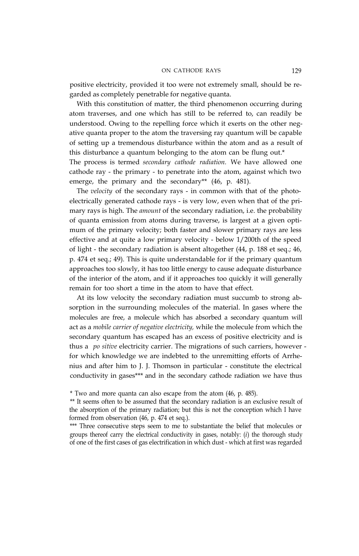positive electricity, provided it too were not extremely small, should be regarded as completely penetrable for negative quanta.

With this constitution of matter, the third phenomenon occurring during atom traverses, and one which has still to be referred to, can readily be understood. Owing to the repelling force which it exerts on the other negative quanta proper to the atom the traversing ray quantum will be capable of setting up a tremendous disturbance within the atom and as a result of this disturbance a quantum belonging to the atom can be flung out.\*

The process is termed *secondary cathode radiation.* We have allowed one cathode ray - the primary - to penetrate into the atom, against which two emerge, the primary and the secondary\*\* (46, p. 481).

The *velocity* of the secondary rays - in common with that of the photoelectrically generated cathode rays - is very low, even when that of the primary rays is high. The *amount* of the secondary radiation, i.e. the probability of quanta emission from atoms during traverse, is largest at a given optimum of the primary velocity; both faster and slower primary rays are less effective and at quite a low primary velocity - below 1/200th of the speed of light - the secondary radiation is absent altogether (44, p. 188 et seq.; 46, p. 474 et seq.; 49). This is quite understandable for if the primary quantum approaches too slowly, it has too little energy to cause adequate disturbance of the interior of the atom, and if it approaches too quickly it will generally remain for too short a time in the atom to have that effect.

At its low velocity the secondary radiation must succumb to strong absorption in the surrounding molecules of the material. In gases where the molecules are free, a molecule which has absorbed a secondary quantum will act as a *mobile carrier of negative electricity,* while the molecule from which the secondary quantum has escaped has an excess of positive electricity and is thus a *po sitive* electricity carrier. The migrations of such carriers, however for which knowledge we are indebted to the unremitting efforts of Arrhenius and after him to J. J. Thomson in particular - constitute the electrical conductivity in gases\*\*\* and in the secondary cathode radiation we have thus

<sup>\*</sup> Two and more quanta can also escape from the atom (46, p. 485).

<sup>\*\*</sup> It seems often to be assumed that the secondary radiation is an exclusive result of the absorption of the primary radiation; but this is not the conception which I have formed from observation (46, p. 474 et seq.).

<sup>\*\*\*</sup> Three consecutive steps seem to me to substantiate the belief that molecules or groups thereof carry the electrical conductivity in gases, notably: (*i*) the thorough study of one of the first cases of gas electrification in which dust - which at first was regarded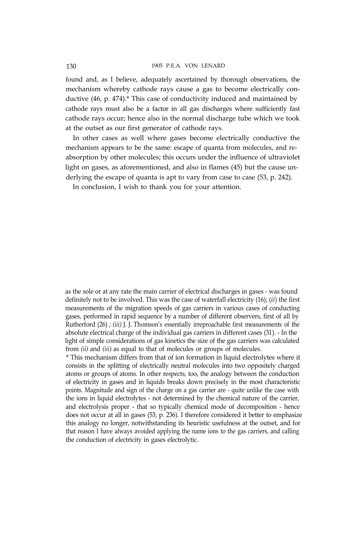found and, as I believe, adequately ascertained by thorough observations, the mechanism whereby cathode rays cause a gas to become electrically conductive (46, p. 474).\* This case of conductivity induced and maintained by cathode rays must also be a factor in all gas discharges where sufficiently fast cathode rays occur; hence also in the normal discharge tube which we took at the outset as our first generator of cathode rays.

In other cases as well where gases become electrically conductive the mechanism appears to be the same: escape of quanta from molecules, and reabsorption by other molecules; this occurs under the influence of ultraviolet light on gases, as aforementioned, and also in flames (45) but the cause underlying the escape of quanta is apt to vary from case to case (53, p. 242).

In conclusion, I wish to thank you for your attention.

as the sole or at any rate the main carrier of electrical discharges in gases - was found definitely not to be involved. This was the case of waterfall electricity (16); (*ii*) the first measurements of the migration speeds of gas carriers in various cases of conducting gases, performed in rapid sequence by a number of different observers, first of all by Rutherford (26) ; *(iii)* J. J. Thomson's essentially irreproachable first measurements of the absolute electrical charge of the individual gas carriers in different cases (31). - In the light of simple considerations of gas kinetics the size of the gas carriers was calculated from *(ii)* and *(iii)* as equal to that of molecules or groups of molecules.

\* This mechanism differs from that of ion formation in liquid electrolytes where it consists in the splitting of electrically neutral molecules into two oppositely charged atoms or groups of atoms. In other respects, too, the analogy between the conduction of electricity in gases and in liquids breaks down precisely in the most characteristic points. Magnitude and sign of the charge on a gas carrier are - quite unlike the case with the ions in liquid electrolytes - not determined by the chemical nature of the carrier, and electrolysis proper - that so typically chemical mode of decomposition - hence does not occur at all in gases (53, p. 236). I therefore considered it better to emphasize this analogy no longer, notwithstanding its heuristic usefulness at the outset, and for that reason I have always avoided applying the name ions to the gas carriers, and calling the conduction of electricity in gases electrolytic.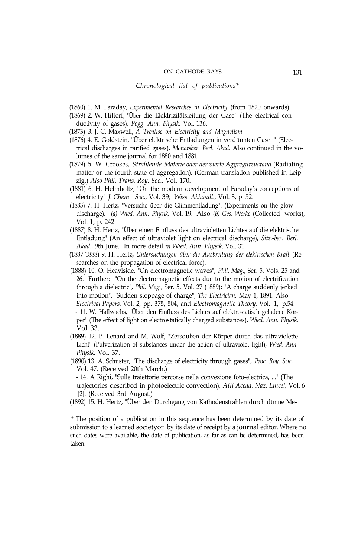*Chronological list of publications\**

- (1860) 1. M. Faraday, *Experimental Researches in Electricity* (from 1820 onwards).
- (1869) 2. W. Hittorf, "Über die Elektrizitätsleitung der Gase" (The electrical conductivity of gases), *Pogg. Ann. Physik,* Vol. 136.
- (1873) *3.* J. C. Maxwell, *A Treatise on Electricity and Magnetism.*
- (1876) 4. E. Goldstein, "Über elektrische Entladungen in verdünnten Gasen" (Electrical discharges in rarified gases), *Monatsber. Berl. Akad.* Also continued in the volumes of the same journal for 1880 and 1881.
- (1879) 5. W. Crookes, *Strahlende Materie oder der vierte Aggregutzustand* (Radiating matter or the fourth state of aggregation). (German translation published in Leipzig.) *Also Phil. Trans. Roy. Soc.,* Vol. 170.
- (1881) 6. H. Helmholtz, "On the modern development of Faraday's conceptions of electricity" *J. Chem. Soc.,* Vol. 39; *Wiss. Abhandl.,* Vol. 3, p. 52.
- (1883) 7. H. Hertz, "Versuche über die Glimmentladung". (Experiments on the glow discharge). *(a) Wied. Ann. Physik,* Vol. 19. Also *(b) Ges. Werke* (Collected works), Vol. 1, p. 242.
- (1887) 8. H. Hertz, "Über einen Einfluss des ultravioletten Lichtes auf die elektrische Entladung" (An effect of ultraviolet light on electrical discharge), *Sitz.-ber. Berl. Akad.,* 9th June. In more detail *in Wied. Ann. Physik,* Vol. 31.
- (1887-1888) 9. H. Hertz, *Untersuchungen über die Ausbreitung der elektrischen Kraft* (Researches on the propagation of electrical force).
- (1888) 10. O. Heaviside, "On electromagnetic waves", *Phil. Mag.,* Ser. 5, Vols. 25 and 26. Further: "On the electromagnetic effects due to the motion of electrification through a dielectric", *Phil. Mag.,* Ser. 5, Vol. 27 (1889); "A charge suddenly jerked into motion", "Sudden stoppage of charge", *The Electrician,* May 1, 1891. Also *Electrical Papers,* Vol. 2, pp. 375, 504, and *Electromagnetic Theory,* Vol. 1, p.54. - 11. W. Hallwachs, "Über den Einfluss des Lichtes auf elektrostatisch geladene Körper" (The effect of light on electrostatically charged substances), *Wied. Ann. Physik,* Vol. 33.
- (1889) 12. P. Lenard and M. Wolf, "Zersduben der Körper durch das ultraviolette Licht" (Pulverization of substances under the action of ultraviolet light), *Wied. Ann. Physik,* Vol. 37.
- (1890) 13. A. Schuster, "The discharge of electricity through gases", *Proc. Roy. SOc,* Vol. 47. (Received 20th March.)
	- 14. A Righi, "Sulle traiettorie percorse nella convezione foto-electrica, ..." (The trajectories described in photoelectric convection), *Atti Accad. Naz. Lincei,* Vol. 6 [2]. (Received 3rd August.)
- (1892) 15. H. Hertz, "Über den Durchgang von Kathodenstrahlen durch dünne Me-

\* The position of a publication in this sequence has been determined by its date of submission to a learned societyor by its date of receipt by a journal editor. Where no such dates were available, the date of publication, as far as can be determined, has been taken.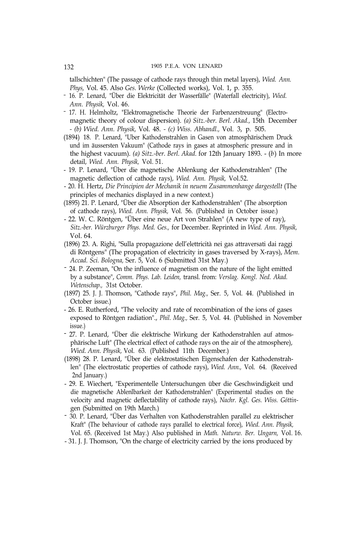tallschichten" (The passage of cathode rays through thin metal layers), *Wied. Ann. Phys,* Vol. 45. Also *Ges. Werke* (Collected works), Vol. 1, p. 355. *-* 16. P. Lenard, "Über die Elektricität der Wasserfälle" (Waterfall electricity), *Wied.*

- *Ann. Physik,* Vol. 46.
- *-* 17. H. Helmholtz, "Elektromagnetische Theorie der Farbenzerstreuung" (Electromagnetic theory of colour dispersion). *(a) Sitz.-ber. Berl. Akad.,* 15th December *- (b) Wied. Ann. Physik,* Vol. 48. *- (c) Wiss. Abhandl.,* Vol. 3, p. 505.
- (1894) 18. P. Lenard, "Uber Kathodenstrahlen in Gasen von atmosphärischem Druck und im äussersten Vakuum" (Cathode rays in gases at atmospheric pressure and in the highest vacuum). *(a) Sitz.-ber. Berl. Akad.* for 12th January 1893. - (*b*) In more detail, *Wied. Ann. Physik,* Vol. 51.
- 19. P. Lenard, "Über die magnetische Ablenkung der Kathodenstrahlen" (The magnetic deflection of cathode rays), *Wied. Ann. Physik,* Vol.52.
- 20. H. Hertz, *Die Principien der Mechanik in neuem Zusammenhange dargestellt* (The principles of mechanics displayed in a new context.)
- (1895) 21. P. Lenard, "Über die Absorption der Kathodenstrahlen" (The absorption of cathode rays), *Wied. Ann. Physik,* Vol. 56. (Published in October issue.)
- 22. W. C. Röntgen, "Über eine neue Art von Strahlen" (A new type of ray), *Sitz.-ber. Würzburger Phys. Med. Ges.,* for December. Reprinted in *Wied. Ann. Physik,* Vol. 64.
- (1896) 23. A. Righi, "Sulla propagazione dell'elettricità nei gas attraversati dai raggi di Röntgens" (The propagation of electricity in gases traversed by X-rays), *Mem. Accad. Sci. Bologna,* Ser. 5, Vol. 6 (Submitted 31st May.) - 24. P. Zeeman, "On the influence of magnetism on the nature of the light emitted
- by a substance", *Comm. Phys. Lab. Leiden,* transl. from: *Verslag. Kongl. Ned. Akad. Wetenschap.,* 31st October.
- (1897) 25. J. J. Thomson, "Cathode rays", *Phil. Mag.,* Ser. 5, Vol. 44. (Published in October issue.)
- 26. E. Rutherford, "The velocity and rate of recombination of the ions of gases exposed to Röntgen radiation"., *Phil. Mag.,* Ser. 5, Vol. 44. (Published in November issue.)
- 27. P. Lenard, "Über die elektrische Wirkung der Kathodenstrahlen auf atmosphärische Luft" (The electrical effect of cathode rays on the air of the atmosphere), *Wied. Ann. Physik,* Vol. 63. (Published 11th December.)
- (1898) 28. P. Lenard, "Über die elektrostatischen Eigenschafen der Kathodenstrahlen" (The electrostatic properties of cathode rays), *Wied. Ann.,* Vol. 64. (Received 2nd January.)
- 29. E. Wiechert, "Experimentelle Untersuchungen über die Geschwindigkeit und die magnetische Ablenlbarkeit der Kathodenstrahlen" (Experimental studies on the velocity and magnetic deflectability of cathode rays), *Nachr. Kgl. Ges. Wiss. Göttin*gen (Submitted on 19th March.)
- 30. P. Lenard, "Über das Verhalten von Kathodenstrahlen parallel zu elektrischer Kraft" (The behaviour of cathode rays parallel to electrical force), *Wied. Ann. Physik,* Vol. 65. (Received 1st May.) Also published in *Math. Naturw. Ber. Ungarn,* Vol. 16.
- 31. J. J. Thomson, "On the charge of electricity carried by the ions produced by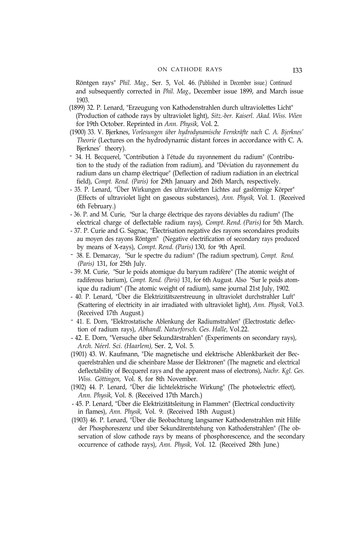Röntgen rays" *Phil. Mag.,* Ser. 5, Vol. 46. (Published in December issue.) Continued and subsequently corrected in *Phil. Mag.,* December issue 1899, and March issue 1903.

- (1899) 32. P. Lenard, "Erzeugung von Kathodenstrahlen durch ultraviolettes Licht" (Production of cathode rays by ultraviolet light), *Sitz.-ber. Kaiserl. Akad. Wiss. Wien* for 19th October. Reprinted in *Ann. Physik,* Vol. 2.
- (1900) 33. V. Bjerknes, *Vorlesungen über hydrodynamische Fernkräfte nach C. A. Bjerknes' Theorie* (Lectures on the hydrodynamic distant forces in accordance with C. A. Bjerknes' theory).
- 34. H. Becquerel, "Contribution à l'étude du rayonnement du radium" (Contribution to the study of the radiation from radium), and "Déviation du rayonnement du radium dans un champ électrique" (Deflection of radium radiation in an electrical field), *Compt. Rend. (Paris)* for 29th January and 26th March, respectively.
- 35. P. Lenard, "Über Wirkungen des ultravioletten Lichtes auf gasförmige Körper" (Effects of ultraviolet light on gaseous substances), *Ann. Physik,* Vol. 1. (Received 6th February.)
- 36. P. and M. Curie, "Sur la charge électrique des rayons déviables du radium" (The electrical charge of deflectable radium rays), *Compt. Rend. (Paris)* for 5th March.
- 37. P. Curie and G. Sagnac, "Électrisation negative des rayons secondaires produits au moyen des rayons Röntgen" (Negative electrification of secondary rays produced by means of X-rays), *Compt. Rend. (Paris)* 130, for 9th April.
- 38. E. Demarcay, "Sur le spectre du radium" (The radium spectrum), *Compt. Rend. (Paris)* 131, for 25th July.
- 39. M. Curie, "Sur le poids atomique du baryum radifère" (The atomic weight of radiferous barium), *Compt. Rend. (Paris)* 131, for 6th August. Also "Sur le poids atomique du radium" (The atomic weight of radium), same journal 21st July, 1902.
- 40. P. Lenard, "Über die Elektrizitätszerstreuung in ultraviolet durchstrahler Luft" (Scattering of electricity in air irradiated with ultraviolet light), *Ann. Physik,* Vol.3. (Received 17th August.)
- 41. E. Dorn, "Elektrostatische Ablenkung der Radiumstrahlen" (Electrostatic deflection of radium rays), *Abhandl. Naturforsch. Ges. Halle,* Vol.22.
- 42. E. Dorn, "Versuche über Sekundärstrahlen" (Experiments on secondary rays), *Arch. Néerl. Sci. (Haarlem),* Ser. 2, Vol. 5.
- (1901) 43. W. Kaufmann, "Die magnetische und elektrische Ablenkbarkeit der Becquerelstrahlen und die scheinbare Masse der Elektronen" (The magnetic and electrical deflectability of Becquerel rays and the apparent mass of electrons), *Nachr. Kgl. Ges. Wiss. Göttingen,* Vol. 8, for 8th November.
- (1902) 44. P. Lenard, "Über die lichtelektrische Wirkung" (The photoelectric effect), *Ann. Physik,* Vol. 8. (Received 17th March.)
- 45. P. Lenard, "Über die Elektrizitätsleitung in Flammen" (Electrical conductivity in flames), *Ann. Physik,* Vol. 9. (Received 18th August.)
- (1903) 46. P. Lenard, "Über die Beobachtung langsamer Kathodenstrahlen mit Hilfe der Phosphoreszenz und über Sekundärentstehung von Kathodenstrahlen" (The observation of slow cathode rays by means of phosphorescence, and the secondary occurrence of cathode rays), *Ann. Physik,* Vol. 12. (Received 28th June.)